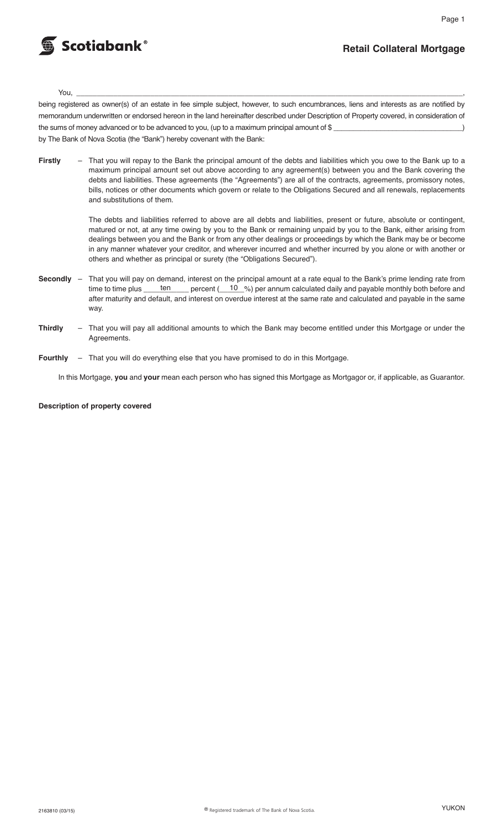

# **Retail Collateral Mortgage**

You, \_\_\_\_\_\_\_\_\_\_\_\_\_\_\_\_\_\_\_\_\_\_\_\_\_\_\_\_\_\_\_\_\_\_\_\_\_\_\_\_\_\_\_\_\_\_\_\_\_\_\_\_\_\_\_\_\_\_\_\_\_\_\_\_\_\_\_\_\_\_\_\_\_\_\_\_\_\_\_\_\_\_\_\_\_\_\_\_\_\_\_\_\_\_,

being registered as owner(s) of an estate in fee simple subject, however, to such encumbrances, liens and interests as are notified by memorandum underwritten or endorsed hereon in the land hereinafter described under Description of Property covered, in consideration of the sums of money advanced or to be advanced to you, (up to a maximum principal amount of \$ by The Bank of Nova Scotia (the "Bank") hereby covenant with the Bank:

**Firstly** – That you will repay to the Bank the principal amount of the debts and liabilities which you owe to the Bank up to a maximum principal amount set out above according to any agreement(s) between you and the Bank covering the debts and liabilities. These agreements (the "Agreements") are all of the contracts, agreements, promissory notes, bills, notices or other documents which govern or relate to the Obligations Secured and all renewals, replacements and substitutions of them.

> The debts and liabilities referred to above are all debts and liabilities, present or future, absolute or contingent, matured or not, at any time owing by you to the Bank or remaining unpaid by you to the Bank, either arising from dealings between you and the Bank or from any other dealings or proceedings by which the Bank may be or become in any manner whatever your creditor, and wherever incurred and whether incurred by you alone or with another or others and whether as principal or surety (the "Obligations Secured").

- **Secondly** That you will pay on demand, interest on the principal amount at a rate equal to the Bank's prime lending rate from time to time plus <u>ten</u> percent (10 %) per annum calculated daily and payable monthly both be time to time plus \_\_\_\_\_\_ten \_\_\_\_\_ percent (\_\_\_10\_%) per annum calculated daily and payable monthly both before and after maturity and default, and interest on overdue interest at the same rate and calculated and payable in the same way.
- **Thirdly** That you will pay all additional amounts to which the Bank may become entitled under this Mortgage or under the Agreements.
- **Fourthly** That you will do everything else that you have promised to do in this Mortgage.

In this Mortgage, **you** and **your** mean each person who has signed this Mortgage as Mortgagor or, if applicable, as Guarantor.

**Description of property covered**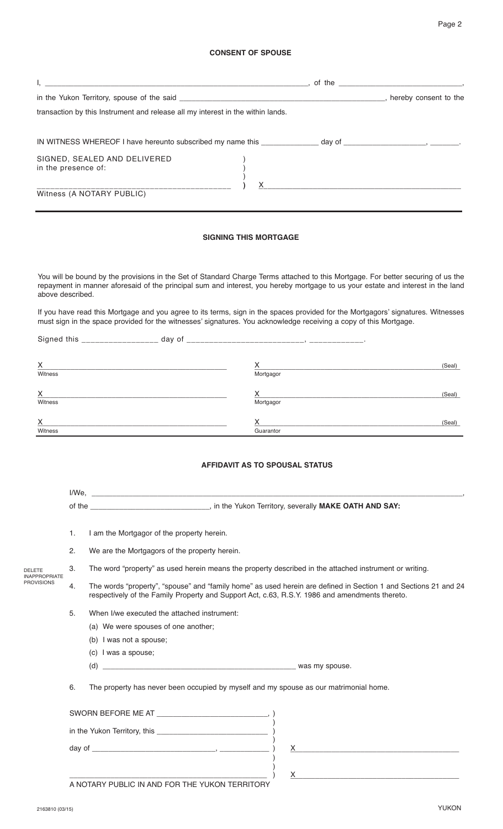|                                                            |    |                                                                                                                                                                                                                   | <b>CONSENT OF SPOUSE</b>              |                                                                                                                                                                                                                                                                     |  |
|------------------------------------------------------------|----|-------------------------------------------------------------------------------------------------------------------------------------------------------------------------------------------------------------------|---------------------------------------|---------------------------------------------------------------------------------------------------------------------------------------------------------------------------------------------------------------------------------------------------------------------|--|
|                                                            |    |                                                                                                                                                                                                                   |                                       |                                                                                                                                                                                                                                                                     |  |
|                                                            |    |                                                                                                                                                                                                                   |                                       |                                                                                                                                                                                                                                                                     |  |
|                                                            |    | transaction by this Instrument and release all my interest in the within lands.                                                                                                                                   |                                       |                                                                                                                                                                                                                                                                     |  |
|                                                            |    |                                                                                                                                                                                                                   |                                       |                                                                                                                                                                                                                                                                     |  |
| in the presence of:                                        |    | SIGNED, SEALED AND DELIVERED                                                                                                                                                                                      |                                       |                                                                                                                                                                                                                                                                     |  |
|                                                            |    | Witness (A NOTARY PUBLIC)                                                                                                                                                                                         | X.                                    |                                                                                                                                                                                                                                                                     |  |
|                                                            |    |                                                                                                                                                                                                                   | <b>SIGNING THIS MORTGAGE</b>          |                                                                                                                                                                                                                                                                     |  |
| above described.                                           |    |                                                                                                                                                                                                                   |                                       | You will be bound by the provisions in the Set of Standard Charge Terms attached to this Mortgage. For better securing of us the<br>repayment in manner aforesaid of the principal sum and interest, you hereby mortgage to us your estate and interest in the land |  |
|                                                            |    | must sign in the space provided for the witnesses' signatures. You acknowledge receiving a copy of this Mortgage.                                                                                                 |                                       | If you have read this Mortgage and you agree to its terms, sign in the spaces provided for the Mortgagors' signatures. Witnesses                                                                                                                                    |  |
|                                                            |    |                                                                                                                                                                                                                   |                                       | (Seal)                                                                                                                                                                                                                                                              |  |
| Witness                                                    |    |                                                                                                                                                                                                                   | Mortgagor                             |                                                                                                                                                                                                                                                                     |  |
|                                                            |    |                                                                                                                                                                                                                   | Х.                                    | (Seal)                                                                                                                                                                                                                                                              |  |
| Witness                                                    |    |                                                                                                                                                                                                                   | Mortgagor                             |                                                                                                                                                                                                                                                                     |  |
| х<br>Witness                                               |    |                                                                                                                                                                                                                   | Х<br>Guarantor                        | (Seal)                                                                                                                                                                                                                                                              |  |
|                                                            |    |                                                                                                                                                                                                                   | <b>AFFIDAVIT AS TO SPOUSAL STATUS</b> |                                                                                                                                                                                                                                                                     |  |
|                                                            |    |                                                                                                                                                                                                                   |                                       |                                                                                                                                                                                                                                                                     |  |
|                                                            |    |                                                                                                                                                                                                                   |                                       |                                                                                                                                                                                                                                                                     |  |
|                                                            | 1. | I am the Mortgagor of the property herein.                                                                                                                                                                        |                                       |                                                                                                                                                                                                                                                                     |  |
|                                                            | 2. | We are the Mortgagors of the property herein.                                                                                                                                                                     |                                       |                                                                                                                                                                                                                                                                     |  |
| <b>DELETE</b><br><b>INAPPROPRIATE</b><br><b>PROVISIONS</b> | 3. | The word "property" as used herein means the property described in the attached instrument or writing.                                                                                                            |                                       |                                                                                                                                                                                                                                                                     |  |
|                                                            | 4. | The words "property", "spouse" and "family home" as used herein are defined in Section 1 and Sections 21 and 24<br>respectively of the Family Property and Support Act, c.63, R.S.Y. 1986 and amendments thereto. |                                       |                                                                                                                                                                                                                                                                     |  |

- 5. When I/we executed the attached instrument:
	- (a) We were spouses of one another;
	- (b) I was not a spouse;
	- (c) I was a spouse;
	- (d) \_\_\_\_\_\_\_\_\_\_\_\_\_\_\_\_\_\_\_\_\_\_\_\_\_\_\_\_\_\_\_\_\_\_\_\_\_\_\_\_\_\_\_\_\_\_\_ was my spouse.

6. The property has never been occupied by myself and my spouse as our matrimonial home.

| SWORN BEFORE ME AT                             |  |
|------------------------------------------------|--|
|                                                |  |
|                                                |  |
|                                                |  |
| A NOTARY PUBLIC IN AND FOR THE YUKON TERRITORY |  |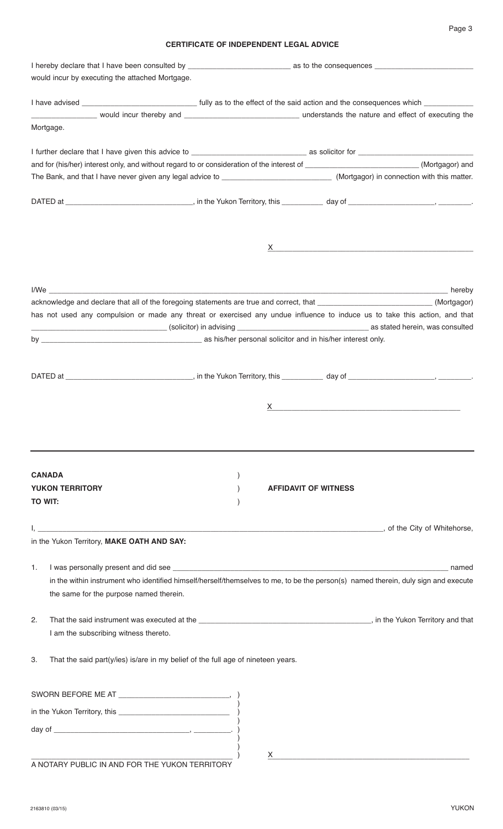# Page 3

# **CERTIFICATE OF INDEPENDENT LEGAL ADVICE**

| would incur by executing the attached Mortgage.                                        |                                                                                                                                              |
|----------------------------------------------------------------------------------------|----------------------------------------------------------------------------------------------------------------------------------------------|
|                                                                                        |                                                                                                                                              |
|                                                                                        |                                                                                                                                              |
| Mortgage.                                                                              |                                                                                                                                              |
|                                                                                        |                                                                                                                                              |
|                                                                                        | and for (his/her) interest only, and without regard to or consideration of the interest of ___________________________(Mortgagor) and        |
|                                                                                        |                                                                                                                                              |
|                                                                                        |                                                                                                                                              |
|                                                                                        |                                                                                                                                              |
|                                                                                        |                                                                                                                                              |
|                                                                                        |                                                                                                                                              |
|                                                                                        | acknowledge and declare that all of the foregoing statements are true and correct, that ____________________________(Mortgagor)              |
|                                                                                        | has not used any compulsion or made any threat or exercised any undue influence to induce us to take this action, and that                   |
|                                                                                        |                                                                                                                                              |
|                                                                                        |                                                                                                                                              |
|                                                                                        |                                                                                                                                              |
|                                                                                        |                                                                                                                                              |
|                                                                                        |                                                                                                                                              |
|                                                                                        |                                                                                                                                              |
| <b>CANADA</b>                                                                          |                                                                                                                                              |
| <b>YUKON TERRITORY</b>                                                                 | <b>AFFIDAVIT OF WITNESS</b>                                                                                                                  |
| <b>TO WIT:</b>                                                                         |                                                                                                                                              |
|                                                                                        | <u>Descriptions of the City of Whitehorse, the City of Whitehorse, and the City of Whitehorse, and the City of Whitehorse,</u>               |
| in the Yukon Territory, MAKE OATH AND SAY:                                             |                                                                                                                                              |
| 1.                                                                                     | named                                                                                                                                        |
| the same for the purpose named therein.                                                | in the within instrument who identified himself/herself/themselves to me, to be the person(s) named therein, duly sign and execute           |
| 2.                                                                                     |                                                                                                                                              |
| I am the subscribing witness thereto.                                                  |                                                                                                                                              |
| That the said part(y/ies) is/are in my belief of the full age of nineteen years.<br>З. |                                                                                                                                              |
|                                                                                        |                                                                                                                                              |
|                                                                                        |                                                                                                                                              |
|                                                                                        |                                                                                                                                              |
|                                                                                        |                                                                                                                                              |
|                                                                                        | $\mathsf X$ and $\mathsf X$ are the set of $\mathsf X$ and $\mathsf X$ are the set of $\mathsf X$ and $\mathsf X$ are the set of $\mathsf X$ |
| A NOTARY PUBLIC IN AND FOR THE YUKON TERRITORY                                         |                                                                                                                                              |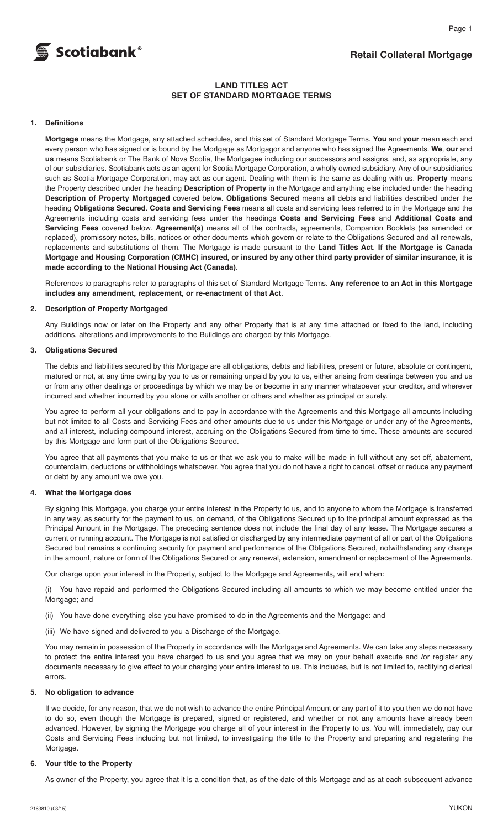

# **Retail Collateral Mortgage**

Page 1

# **LAND TITLES ACT SET OF STANDARD MORTGAGE TERMS**

# **1. Definitions**

 **Mortgage** means the Mortgage, any attached schedules, and this set of Standard Mortgage Terms. **You** and **your** mean each and every person who has signed or is bound by the Mortgage as Mortgagor and anyone who has signed the Agreements. **We**, **our** and **us** means Scotiabank or The Bank of Nova Scotia, the Mortgagee including our successors and assigns, and, as appropriate, any of our subsidiaries. Scotiabank acts as an agent for Scotia Mortgage Corporation, a wholly owned subsidiary. Any of our subsidiaries such as Scotia Mortgage Corporation, may act as our agent. Dealing with them is the same as dealing with us. **Property** means the Property described under the heading **Description of Property** in the Mortgage and anything else included under the heading **Description of Property Mortgaged** covered below. **Obligations Secured** means all debts and liabilities described under the heading **Obligations Secured**. **Costs and Servicing Fees** means all costs and servicing fees referred to in the Mortgage and the Agreements including costs and servicing fees under the headings **Costs and Servicing Fees** and **Additional Costs and Servicing Fees** covered below. **Agreement(s)** means all of the contracts, agreements, Companion Booklets (as amended or replaced), promissory notes, bills, notices or other documents which govern or relate to the Obligations Secured and all renewals, replacements and substitutions of them. The Mortgage is made pursuant to the **Land Titles Act**. **If the Mortgage is Canada** Mortgage and Housing Corporation (CMHC) insured, or insured by any other third party provider of similar insurance, it is **made according to the National Housing Act (Canada)**.

 References to paragraphs refer to paragraphs of this set of Standard Mortgage Terms. **Any reference to an Act in this Mortgage includes any amendment, replacement, or re-enactment of that Act**.

#### **2. Description of Property Mortgaged**

 Any Buildings now or later on the Property and any other Property that is at any time attached or fixed to the land, including additions, alterations and improvements to the Buildings are charged by this Mortgage.

#### **3. Obligations Secured**

 The debts and liabilities secured by this Mortgage are all obligations, debts and liabilities, present or future, absolute or contingent, matured or not, at any time owing by you to us or remaining unpaid by you to us, either arising from dealings between you and us or from any other dealings or proceedings by which we may be or become in any manner whatsoever your creditor, and wherever incurred and whether incurred by you alone or with another or others and whether as principal or surety.

 You agree to perform all your obligations and to pay in accordance with the Agreements and this Mortgage all amounts including but not limited to all Costs and Servicing Fees and other amounts due to us under this Mortgage or under any of the Agreements, and all interest, including compound interest, accruing on the Obligations Secured from time to time. These amounts are secured by this Mortgage and form part of the Obligations Secured.

 You agree that all payments that you make to us or that we ask you to make will be made in full without any set off, abatement, counterclaim, deductions or withholdings whatsoever. You agree that you do not have a right to cancel, offset or reduce any payment or debt by any amount we owe you.

# **4. What the Mortgage does**

 By signing this Mortgage, you charge your entire interest in the Property to us, and to anyone to whom the Mortgage is transferred in any way, as security for the payment to us, on demand, of the Obligations Secured up to the principal amount expressed as the Principal Amount in the Mortgage. The preceding sentence does not include the final day of any lease. The Mortgage secures a current or running account. The Mortgage is not satisfied or discharged by any intermediate payment of all or part of the Obligations Secured but remains a continuing security for payment and performance of the Obligations Secured, notwithstanding any change in the amount, nature or form of the Obligations Secured or any renewal, extension, amendment or replacement of the Agreements.

Our charge upon your interest in the Property, subject to the Mortgage and Agreements, will end when:

 (i) You have repaid and performed the Obligations Secured including all amounts to which we may become entitled under the Mortgage; and

- (ii) You have done everything else you have promised to do in the Agreements and the Mortgage: and
- (iii) We have signed and delivered to you a Discharge of the Mortgage.

 You may remain in possession of the Property in accordance with the Mortgage and Agreements. We can take any steps necessary to protect the entire interest you have charged to us and you agree that we may on your behalf execute and /or register any documents necessary to give effect to your charging your entire interest to us. This includes, but is not limited to, rectifying clerical errors.

#### **5. No obligation to advance**

 If we decide, for any reason, that we do not wish to advance the entire Principal Amount or any part of it to you then we do not have to do so, even though the Mortgage is prepared, signed or registered, and whether or not any amounts have already been advanced. However, by signing the Mortgage you charge all of your interest in the Property to us. You will, immediately, pay our Costs and Servicing Fees including but not limited, to investigating the title to the Property and preparing and registering the Mortgage.

#### **6. Your title to the Property**

As owner of the Property, you agree that it is a condition that, as of the date of this Mortgage and as at each subsequent advance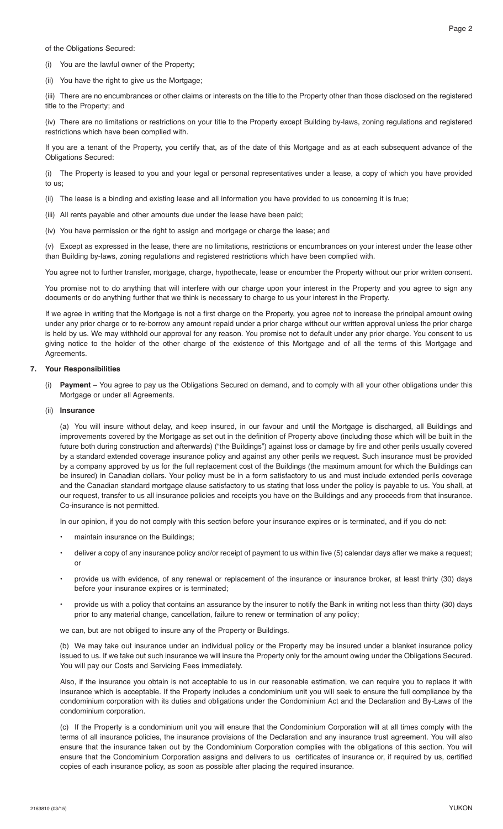of the Obligations Secured:

(i) You are the lawful owner of the Property;

(ii) You have the right to give us the Mortgage;

 (iii) There are no encumbrances or other claims or interests on the title to the Property other than those disclosed on the registered title to the Property; and

 (iv) There are no limitations or restrictions on your title to the Property except Building by-laws, zoning regulations and registered restrictions which have been complied with.

 If you are a tenant of the Property, you certify that, as of the date of this Mortgage and as at each subsequent advance of the Obligations Secured:

 (i) The Property is leased to you and your legal or personal representatives under a lease, a copy of which you have provided to us;

(ii) The lease is a binding and existing lease and all information you have provided to us concerning it is true;

- (iii) All rents payable and other amounts due under the lease have been paid;
- (iv) You have permission or the right to assign and mortgage or charge the lease; and

 (v) Except as expressed in the lease, there are no limitations, restrictions or encumbrances on your interest under the lease other than Building by-laws, zoning regulations and registered restrictions which have been complied with.

You agree not to further transfer, mortgage, charge, hypothecate, lease or encumber the Property without our prior written consent.

You promise not to do anything that will interfere with our charge upon your interest in the Property and you agree to sign any documents or do anything further that we think is necessary to charge to us your interest in the Property.

 If we agree in writing that the Mortgage is not a first charge on the Property, you agree not to increase the principal amount owing under any prior charge or to re-borrow any amount repaid under a prior charge without our written approval unless the prior charge is held by us. We may withhold our approval for any reason. You promise not to default under any prior charge. You consent to us giving notice to the holder of the other charge of the existence of this Mortgage and of all the terms of this Mortgage and Agreements.

#### **7. Your Responsibilities**

 (i) **Payment** – You agree to pay us the Obligations Secured on demand, and to comply with all your other obligations under this Mortgage or under all Agreements.

#### (ii) **Insurance**

 (a) You will insure without delay, and keep insured, in our favour and until the Mortgage is discharged, all Buildings and improvements covered by the Mortgage as set out in the definition of Property above (including those which will be built in the future both during construction and afterwards) ("the Buildings") against loss or damage by fire and other perils usually covered by a standard extended coverage insurance policy and against any other perils we request. Such insurance must be provided by a company approved by us for the full replacement cost of the Buildings (the maximum amount for which the Buildings can be insured) in Canadian dollars. Your policy must be in a form satisfactory to us and must include extended perils coverage and the Canadian standard mortgage clause satisfactory to us stating that loss under the policy is payable to us. You shall, at our request, transfer to us all insurance policies and receipts you have on the Buildings and any proceeds from that insurance. Co-insurance is not permitted.

In our opinion, if you do not comply with this section before your insurance expires or is terminated, and if you do not:

- maintain insurance on the Buildings;
- deliver a copy of any insurance policy and/or receipt of payment to us within five (5) calendar days after we make a request; or
- provide us with evidence, of any renewal or replacement of the insurance or insurance broker, at least thirty (30) days before your insurance expires or is terminated;
- provide us with a policy that contains an assurance by the insurer to notify the Bank in writing not less than thirty (30) days prior to any material change, cancellation, failure to renew or termination of any policy;

we can, but are not obliged to insure any of the Property or Buildings.

 (b) We may take out insurance under an individual policy or the Property may be insured under a blanket insurance policy issued to us. If we take out such insurance we will insure the Property only for the amount owing under the Obligations Secured. You will pay our Costs and Servicing Fees immediately.

 Also, if the insurance you obtain is not acceptable to us in our reasonable estimation, we can require you to replace it with insurance which is acceptable. If the Property includes a condominium unit you will seek to ensure the full compliance by the condominium corporation with its duties and obligations under the Condominium Act and the Declaration and By-Laws of the condominium corporation.

 (c) If the Property is a condominium unit you will ensure that the Condominium Corporation will at all times comply with the terms of all insurance policies, the insurance provisions of the Declaration and any insurance trust agreement. You will also ensure that the insurance taken out by the Condominium Corporation complies with the obligations of this section. You will ensure that the Condominium Corporation assigns and delivers to us certificates of insurance or, if required by us, certified copies of each insurance policy, as soon as possible after placing the required insurance.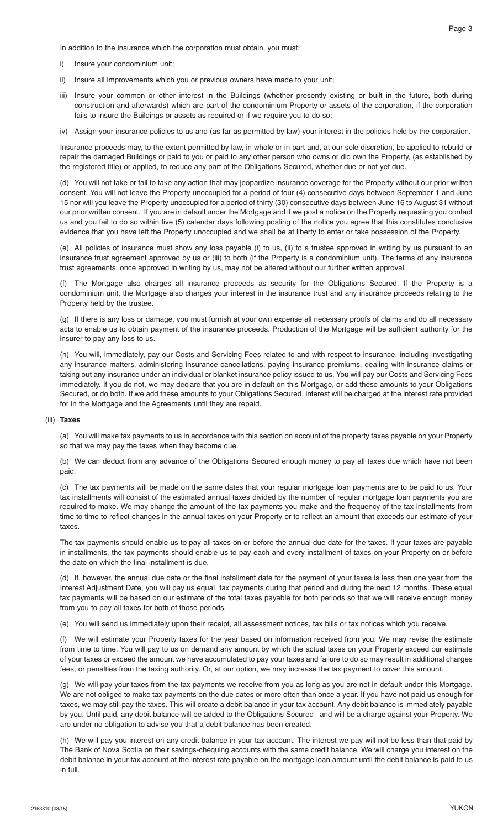In addition to the insurance which the corporation must obtain, you must:

- i) Insure your condominium unit:
- ii) Insure all improvements which you or previous owners have made to your unit;
- iii) Insure your common or other interest in the Buildings (whether presently existing or built in the future, both during construction and afterwards) which are part of the condominium Property or assets of the corporation, if the corporation fails to insure the Buildings or assets as required or if we require you to do so;
- iv) Assign your insurance policies to us and (as far as permitted by law) your interest in the policies held by the corporation.

 Insurance proceeds may, to the extent permitted by law, in whole or in part and, at our sole discretion, be applied to rebuild or repair the damaged Buildings or paid to you or paid to any other person who owns or did own the Property, (as established by the registered title) or applied, to reduce any part of the Obligations Secured, whether due or not yet due.

 (d) You will not take or fail to take any action that may jeopardize insurance coverage for the Property without our prior written consent. You will not leave the Property unoccupied for a period of four (4) consecutive days between September 1 and June 15 nor will you leave the Property unoccupied for a period of thirty (30) consecutive days between June 16 to August 31 without our prior written consent. If you are in default under the Mortgage and if we post a notice on the Property requesting you contact us and you fail to do so within five (5) calendar days following posting of the notice you agree that this constitutes conclusive evidence that you have left the Property unoccupied and we shall be at liberty to enter or take possession of the Property.

 (e) All policies of insurance must show any loss payable (i) to us, (ii) to a trustee approved in writing by us pursuant to an insurance trust agreement approved by us or (iii) to both (if the Property is a condominium unit). The terms of any insurance trust agreements, once approved in writing by us, may not be altered without our further written approval.

 (f) The Mortgage also charges all insurance proceeds as security for the Obligations Secured. If the Property is a condominium unit, the Mortgage also charges your interest in the insurance trust and any insurance proceeds relating to the Property held by the trustee.

 (g) If there is any loss or damage, you must furnish at your own expense all necessary proofs of claims and do all necessary acts to enable us to obtain payment of the insurance proceeds. Production of the Mortgage will be sufficient authority for the insurer to pay any loss to us.

 (h) You will, immediately, pay our Costs and Servicing Fees related to and with respect to insurance, including investigating any insurance matters, administering insurance cancellations, paying insurance premiums, dealing with insurance claims or taking out any insurance under an individual or blanket insurance policy issued to us. You will pay our Costs and Servicing Fees immediately. If you do not, we may declare that you are in default on this Mortgage, or add these amounts to your Obligations Secured, or do both. If we add these amounts to your Obligations Secured, interest will be charged at the interest rate provided for in the Mortgage and the Agreements until they are repaid.

#### (iii) **Taxes**

 (a) You will make tax payments to us in accordance with this section on account of the property taxes payable on your Property so that we may pay the taxes when they become due.

 (b) We can deduct from any advance of the Obligations Secured enough money to pay all taxes due which have not been paid.

 (c) The tax payments will be made on the same dates that your regular mortgage loan payments are to be paid to us. Your tax installments will consist of the estimated annual taxes divided by the number of regular mortgage loan payments you are required to make. We may change the amount of the tax payments you make and the frequency of the tax installments from time to time to reflect changes in the annual taxes on your Property or to reflect an amount that exceeds our estimate of your taxes.

 The tax payments should enable us to pay all taxes on or before the annual due date for the taxes. If your taxes are payable in installments, the tax payments should enable us to pay each and every installment of taxes on your Property on or before the date on which the final installment is due.

 (d) If, however, the annual due date or the final installment date for the payment of your taxes is less than one year from the Interest Adjustment Date, you will pay us equal tax payments during that period and during the next 12 months. These equal tax payments will be based on our estimate of the total taxes payable for both periods so that we will receive enough money from you to pay all taxes for both of those periods.

(e) You will send us immediately upon their receipt, all assessment notices, tax bills or tax notices which you receive.

 (f) We will estimate your Property taxes for the year based on information received from you. We may revise the estimate from time to time. You will pay to us on demand any amount by which the actual taxes on your Property exceed our estimate of your taxes or exceed the amount we have accumulated to pay your taxes and failure to do so may result in additional charges fees, or penalties from the taxing authority. Or, at our option, we may increase the tax payment to cover this amount.

 (g) We will pay your taxes from the tax payments we receive from you as long as you are not in default under this Mortgage. We are not obliged to make tax payments on the due dates or more often than once a year. If you have not paid us enough for taxes, we may still pay the taxes. This will create a debit balance in your tax account. Any debit balance is immediately payable by you. Until paid, any debit balance will be added to the Obligations Secured and will be a charge against your Property. We are under no obligation to advise you that a debit balance has been created.

 (h) We will pay you interest on any credit balance in your tax account. The interest we pay will not be less than that paid by The Bank of Nova Scotia on their savings-chequing accounts with the same credit balance. We will charge you interest on the debit balance in your tax account at the interest rate payable on the mortgage loan amount until the debit balance is paid to us in full.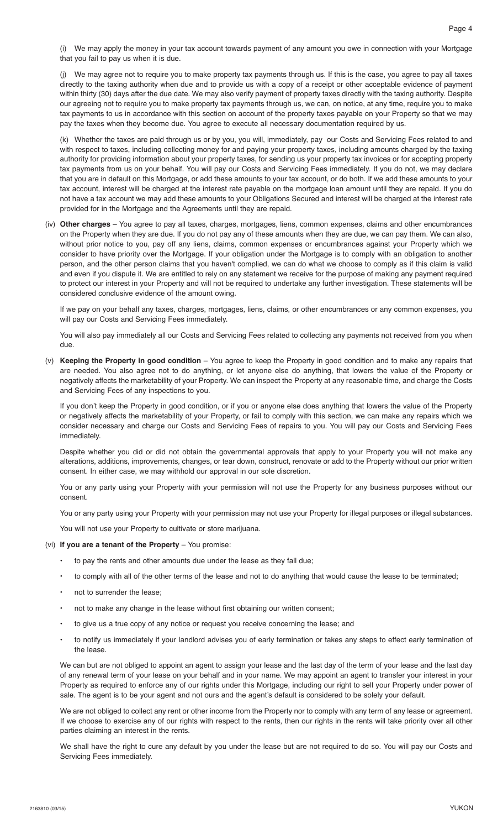(i) We may apply the money in your tax account towards payment of any amount you owe in connection with your Mortgage that you fail to pay us when it is due.

 (j) We may agree not to require you to make property tax payments through us. If this is the case, you agree to pay all taxes directly to the taxing authority when due and to provide us with a copy of a receipt or other acceptable evidence of payment within thirty (30) days after the due date. We may also verify payment of property taxes directly with the taxing authority. Despite our agreeing not to require you to make property tax payments through us, we can, on notice, at any time, require you to make tax payments to us in accordance with this section on account of the property taxes payable on your Property so that we may pay the taxes when they become due. You agree to execute all necessary documentation required by us.

 (k) Whether the taxes are paid through us or by you, you will, immediately, pay our Costs and Servicing Fees related to and with respect to taxes, including collecting money for and paying your property taxes, including amounts charged by the taxing authority for providing information about your property taxes, for sending us your property tax invoices or for accepting property tax payments from us on your behalf. You will pay our Costs and Servicing Fees immediately. If you do not, we may declare that you are in default on this Mortgage, or add these amounts to your tax account, or do both. If we add these amounts to your tax account, interest will be charged at the interest rate payable on the mortgage loan amount until they are repaid. If you do not have a tax account we may add these amounts to your Obligations Secured and interest will be charged at the interest rate provided for in the Mortgage and the Agreements until they are repaid.

 (iv) **Other charges** – You agree to pay all taxes, charges, mortgages, liens, common expenses, claims and other encumbrances on the Property when they are due. If you do not pay any of these amounts when they are due, we can pay them. We can also, without prior notice to you, pay off any liens, claims, common expenses or encumbrances against your Property which we consider to have priority over the Mortgage. If your obligation under the Mortgage is to comply with an obligation to another person, and the other person claims that you haven't complied, we can do what we choose to comply as if this claim is valid and even if you dispute it. We are entitled to rely on any statement we receive for the purpose of making any payment required to protect our interest in your Property and will not be required to undertake any further investigation. These statements will be considered conclusive evidence of the amount owing.

 If we pay on your behalf any taxes, charges, mortgages, liens, claims, or other encumbrances or any common expenses, you will pay our Costs and Servicing Fees immediately.

 You will also pay immediately all our Costs and Servicing Fees related to collecting any payments not received from you when due.

 (v) **Keeping the Property in good condition** – You agree to keep the Property in good condition and to make any repairs that are needed. You also agree not to do anything, or let anyone else do anything, that lowers the value of the Property or negatively affects the marketability of your Property. We can inspect the Property at any reasonable time, and charge the Costs and Servicing Fees of any inspections to you.

 If you don't keep the Property in good condition, or if you or anyone else does anything that lowers the value of the Property or negatively affects the marketability of your Property, or fail to comply with this section, we can make any repairs which we consider necessary and charge our Costs and Servicing Fees of repairs to you. You will pay our Costs and Servicing Fees immediately.

 Despite whether you did or did not obtain the governmental approvals that apply to your Property you will not make any alterations, additions, improvements, changes, or tear down, construct, renovate or add to the Property without our prior written consent. In either case, we may withhold our approval in our sole discretion.

 You or any party using your Property with your permission will not use the Property for any business purposes without our consent.

You or any party using your Property with your permission may not use your Property for illegal purposes or illegal substances.

You will not use your Property to cultivate or store marijuana.

#### (vi) **If you are a tenant of the Property** – You promise:

- to pay the rents and other amounts due under the lease as they fall due;
- to comply with all of the other terms of the lease and not to do anything that would cause the lease to be terminated;
- not to surrender the lease:
- not to make any change in the lease without first obtaining our written consent;
- to give us a true copy of any notice or request you receive concerning the lease; and
- to notify us immediately if your landlord advises you of early termination or takes any steps to effect early termination of the lease.

 We can but are not obliged to appoint an agent to assign your lease and the last day of the term of your lease and the last day of any renewal term of your lease on your behalf and in your name. We may appoint an agent to transfer your interest in your Property as required to enforce any of our rights under this Mortgage, including our right to sell your Property under power of sale. The agent is to be your agent and not ours and the agent's default is considered to be solely your default.

 We are not obliged to collect any rent or other income from the Property nor to comply with any term of any lease or agreement. If we choose to exercise any of our rights with respect to the rents, then our rights in the rents will take priority over all other parties claiming an interest in the rents.

 We shall have the right to cure any default by you under the lease but are not required to do so. You will pay our Costs and Servicing Fees immediately.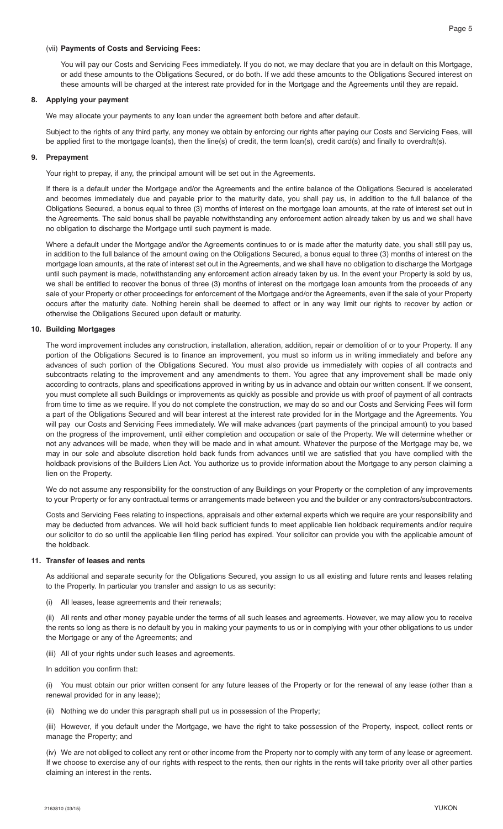You will pay our Costs and Servicing Fees immediately. If you do not, we may declare that you are in default on this Mortgage, or add these amounts to the Obligations Secured, or do both. If we add these amounts to the Obligations Secured interest on these amounts will be charged at the interest rate provided for in the Mortgage and the Agreements until they are repaid.

## **8. Applying your payment**

We may allocate your payments to any loan under the agreement both before and after default.

 Subject to the rights of any third party, any money we obtain by enforcing our rights after paying our Costs and Servicing Fees, will be applied first to the mortgage loan(s), then the line(s) of credit, the term loan(s), credit card(s) and finally to overdraft(s).

#### **9. Prepayment**

Your right to prepay, if any, the principal amount will be set out in the Agreements.

 If there is a default under the Mortgage and/or the Agreements and the entire balance of the Obligations Secured is accelerated and becomes immediately due and payable prior to the maturity date, you shall pay us, in addition to the full balance of the Obligations Secured, a bonus equal to three (3) months of interest on the mortgage loan amounts, at the rate of interest set out in the Agreements. The said bonus shall be payable notwithstanding any enforcement action already taken by us and we shall have no obligation to discharge the Mortgage until such payment is made.

 Where a default under the Mortgage and/or the Agreements continues to or is made after the maturity date, you shall still pay us, in addition to the full balance of the amount owing on the Obligations Secured, a bonus equal to three (3) months of interest on the mortgage loan amounts, at the rate of interest set out in the Agreements, and we shall have no obligation to discharge the Mortgage until such payment is made, notwithstanding any enforcement action already taken by us. In the event your Property is sold by us, we shall be entitled to recover the bonus of three (3) months of interest on the mortgage loan amounts from the proceeds of any sale of your Property or other proceedings for enforcement of the Mortgage and/or the Agreements, even if the sale of your Property occurs after the maturity date. Nothing herein shall be deemed to affect or in any way limit our rights to recover by action or otherwise the Obligations Secured upon default or maturity.

# **10. Building Mortgages**

 The word improvement includes any construction, installation, alteration, addition, repair or demolition of or to your Property. If any portion of the Obligations Secured is to finance an improvement, you must so inform us in writing immediately and before any advances of such portion of the Obligations Secured. You must also provide us immediately with copies of all contracts and subcontracts relating to the improvement and any amendments to them. You agree that any improvement shall be made only according to contracts, plans and specifications approved in writing by us in advance and obtain our written consent. If we consent, you must complete all such Buildings or improvements as quickly as possible and provide us with proof of payment of all contracts from time to time as we require. If you do not complete the construction, we may do so and our Costs and Servicing Fees will form a part of the Obligations Secured and will bear interest at the interest rate provided for in the Mortgage and the Agreements. You will pay our Costs and Servicing Fees immediately. We will make advances (part payments of the principal amount) to you based on the progress of the improvement, until either completion and occupation or sale of the Property. We will determine whether or not any advances will be made, when they will be made and in what amount. Whatever the purpose of the Mortgage may be, we may in our sole and absolute discretion hold back funds from advances until we are satisfied that you have complied with the holdback provisions of the Builders Lien Act. You authorize us to provide information about the Mortgage to any person claiming a lien on the Property.

 We do not assume any responsibility for the construction of any Buildings on your Property or the completion of any improvements to your Property or for any contractual terms or arrangements made between you and the builder or any contractors/subcontractors.

 Costs and Servicing Fees relating to inspections, appraisals and other external experts which we require are your responsibility and may be deducted from advances. We will hold back sufficient funds to meet applicable lien holdback requirements and/or require our solicitor to do so until the applicable lien filing period has expired. Your solicitor can provide you with the applicable amount of the holdback.

#### **11. Transfer of leases and rents**

 As additional and separate security for the Obligations Secured, you assign to us all existing and future rents and leases relating to the Property. In particular you transfer and assign to us as security:

(i) All leases, lease agreements and their renewals;

 (ii) All rents and other money payable under the terms of all such leases and agreements. However, we may allow you to receive the rents so long as there is no default by you in making your payments to us or in complying with your other obligations to us under the Mortgage or any of the Agreements; and

(iii) All of your rights under such leases and agreements.

In addition you confirm that:

 (i) You must obtain our prior written consent for any future leases of the Property or for the renewal of any lease (other than a renewal provided for in any lease);

(ii) Nothing we do under this paragraph shall put us in possession of the Property;

 (iii) However, if you default under the Mortgage, we have the right to take possession of the Property, inspect, collect rents or manage the Property; and

 (iv) We are not obliged to collect any rent or other income from the Property nor to comply with any term of any lease or agreement. If we choose to exercise any of our rights with respect to the rents, then our rights in the rents will take priority over all other parties claiming an interest in the rents.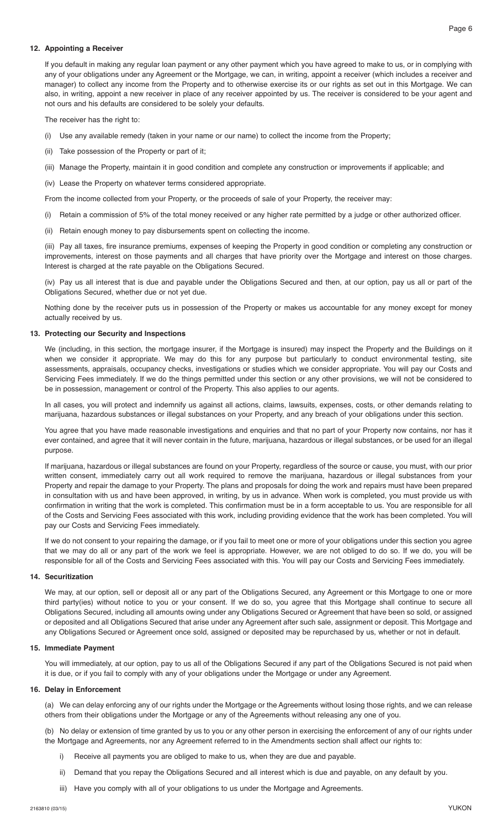# **12. Appointing a Receiver**

 If you default in making any regular loan payment or any other payment which you have agreed to make to us, or in complying with any of your obligations under any Agreement or the Mortgage, we can, in writing, appoint a receiver (which includes a receiver and manager) to collect any income from the Property and to otherwise exercise its or our rights as set out in this Mortgage. We can also, in writing, appoint a new receiver in place of any receiver appointed by us. The receiver is considered to be your agent and not ours and his defaults are considered to be solely your defaults.

The receiver has the right to:

- (i) Use any available remedy (taken in your name or our name) to collect the income from the Property;
- (ii) Take possession of the Property or part of it;
- (iii) Manage the Property, maintain it in good condition and complete any construction or improvements if applicable; and
- (iv) Lease the Property on whatever terms considered appropriate.

From the income collected from your Property, or the proceeds of sale of your Property, the receiver may:

- (i) Retain a commission of 5% of the total money received or any higher rate permitted by a judge or other authorized officer.
- (ii) Retain enough money to pay disbursements spent on collecting the income.

 (iii) Pay all taxes, fire insurance premiums, expenses of keeping the Property in good condition or completing any construction or improvements, interest on those payments and all charges that have priority over the Mortgage and interest on those charges. Interest is charged at the rate payable on the Obligations Secured.

 (iv) Pay us all interest that is due and payable under the Obligations Secured and then, at our option, pay us all or part of the Obligations Secured, whether due or not yet due.

 Nothing done by the receiver puts us in possession of the Property or makes us accountable for any money except for money actually received by us.

#### **13. Protecting our Security and Inspections**

 We (including, in this section, the mortgage insurer, if the Mortgage is insured) may inspect the Property and the Buildings on it when we consider it appropriate. We may do this for any purpose but particularly to conduct environmental testing, site assessments, appraisals, occupancy checks, investigations or studies which we consider appropriate. You will pay our Costs and Servicing Fees immediately. If we do the things permitted under this section or any other provisions, we will not be considered to be in possession, management or control of the Property. This also applies to our agents.

 In all cases, you will protect and indemnify us against all actions, claims, lawsuits, expenses, costs, or other demands relating to marijuana, hazardous substances or illegal substances on your Property, and any breach of your obligations under this section.

 You agree that you have made reasonable investigations and enquiries and that no part of your Property now contains, nor has it ever contained, and agree that it will never contain in the future, marijuana, hazardous or illegal substances, or be used for an illegal purpose.

 If marijuana, hazardous or illegal substances are found on your Property, regardless of the source or cause, you must, with our prior written consent, immediately carry out all work required to remove the marijuana, hazardous or illegal substances from your Property and repair the damage to your Property. The plans and proposals for doing the work and repairs must have been prepared in consultation with us and have been approved, in writing, by us in advance. When work is completed, you must provide us with confirmation in writing that the work is completed. This confirmation must be in a form acceptable to us. You are responsible for all of the Costs and Servicing Fees associated with this work, including providing evidence that the work has been completed. You will pay our Costs and Servicing Fees immediately.

 If we do not consent to your repairing the damage, or if you fail to meet one or more of your obligations under this section you agree that we may do all or any part of the work we feel is appropriate. However, we are not obliged to do so. If we do, you will be responsible for all of the Costs and Servicing Fees associated with this. You will pay our Costs and Servicing Fees immediately.

#### **14. Securitization**

 We may, at our option, sell or deposit all or any part of the Obligations Secured, any Agreement or this Mortgage to one or more third party(ies) without notice to you or your consent. If we do so, you agree that this Mortgage shall continue to secure all Obligations Secured, including all amounts owing under any Obligations Secured or Agreement that have been so sold, or assigned or deposited and all Obligations Secured that arise under any Agreement after such sale, assignment or deposit. This Mortgage and any Obligations Secured or Agreement once sold, assigned or deposited may be repurchased by us, whether or not in default.

# **15. Immediate Payment**

 You will immediately, at our option, pay to us all of the Obligations Secured if any part of the Obligations Secured is not paid when it is due, or if you fail to comply with any of your obligations under the Mortgage or under any Agreement.

#### **16. Delay in Enforcement**

 (a) We can delay enforcing any of our rights under the Mortgage or the Agreements without losing those rights, and we can release others from their obligations under the Mortgage or any of the Agreements without releasing any one of you.

 (b) No delay or extension of time granted by us to you or any other person in exercising the enforcement of any of our rights under the Mortgage and Agreements, nor any Agreement referred to in the Amendments section shall affect our rights to:

- i) Receive all payments you are obliged to make to us, when they are due and payable.
- ii) Demand that you repay the Obligations Secured and all interest which is due and payable, on any default by you.
- iii) Have you comply with all of your obligations to us under the Mortgage and Agreements.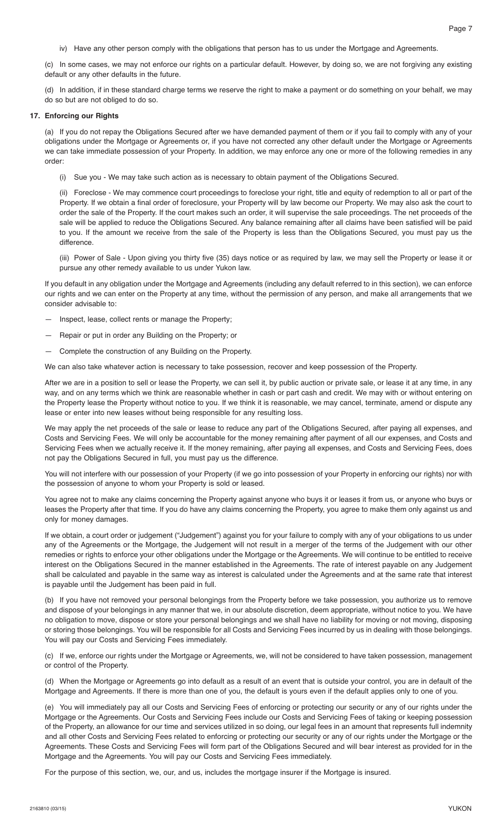(c) In some cases, we may not enforce our rights on a particular default. However, by doing so, we are not forgiving any existing default or any other defaults in the future.

 (d) In addition, if in these standard charge terms we reserve the right to make a payment or do something on your behalf, we may do so but are not obliged to do so.

#### **17. Enforcing our Rights**

 (a) If you do not repay the Obligations Secured after we have demanded payment of them or if you fail to comply with any of your obligations under the Mortgage or Agreements or, if you have not corrected any other default under the Mortgage or Agreements we can take immediate possession of your Property. In addition, we may enforce any one or more of the following remedies in any order:

(i) Sue you - We may take such action as is necessary to obtain payment of the Obligations Secured.

 (ii) Foreclose - We may commence court proceedings to foreclose your right, title and equity of redemption to all or part of the Property. If we obtain a final order of foreclosure, your Property will by law become our Property. We may also ask the court to order the sale of the Property. If the court makes such an order, it will supervise the sale proceedings. The net proceeds of the sale will be applied to reduce the Obligations Secured. Any balance remaining after all claims have been satisfied will be paid to you. If the amount we receive from the sale of the Property is less than the Obligations Secured, you must pay us the difference.

 (iii) Power of Sale - Upon giving you thirty five (35) days notice or as required by law, we may sell the Property or lease it or pursue any other remedy available to us under Yukon law.

 If you default in any obligation under the Mortgage and Agreements (including any default referred to in this section), we can enforce our rights and we can enter on the Property at any time, without the permission of any person, and make all arrangements that we consider advisable to:

- Inspect, lease, collect rents or manage the Property;
- Repair or put in order any Building on the Property; or
- Complete the construction of any Building on the Property.

We can also take whatever action is necessary to take possession, recover and keep possession of the Property.

 After we are in a position to sell or lease the Property, we can sell it, by public auction or private sale, or lease it at any time, in any way, and on any terms which we think are reasonable whether in cash or part cash and credit. We may with or without entering on the Property lease the Property without notice to you. If we think it is reasonable, we may cancel, terminate, amend or dispute any lease or enter into new leases without being responsible for any resulting loss.

 We may apply the net proceeds of the sale or lease to reduce any part of the Obligations Secured, after paying all expenses, and Costs and Servicing Fees. We will only be accountable for the money remaining after payment of all our expenses, and Costs and Servicing Fees when we actually receive it. If the money remaining, after paying all expenses, and Costs and Servicing Fees, does not pay the Obligations Secured in full, you must pay us the difference.

 You will not interfere with our possession of your Property (if we go into possession of your Property in enforcing our rights) nor with the possession of anyone to whom your Property is sold or leased.

 You agree not to make any claims concerning the Property against anyone who buys it or leases it from us, or anyone who buys or leases the Property after that time. If you do have any claims concerning the Property, you agree to make them only against us and only for money damages.

 If we obtain, a court order or judgement ("Judgement") against you for your failure to comply with any of your obligations to us under any of the Agreements or the Mortgage, the Judgement will not result in a merger of the terms of the Judgement with our other remedies or rights to enforce your other obligations under the Mortgage or the Agreements. We will continue to be entitled to receive interest on the Obligations Secured in the manner established in the Agreements. The rate of interest payable on any Judgement shall be calculated and payable in the same way as interest is calculated under the Agreements and at the same rate that interest is payable until the Judgement has been paid in full.

 (b) If you have not removed your personal belongings from the Property before we take possession, you authorize us to remove and dispose of your belongings in any manner that we, in our absolute discretion, deem appropriate, without notice to you. We have no obligation to move, dispose or store your personal belongings and we shall have no liability for moving or not moving, disposing or storing those belongings. You will be responsible for all Costs and Servicing Fees incurred by us in dealing with those belongings. You will pay our Costs and Servicing Fees immediately.

 (c) If we, enforce our rights under the Mortgage or Agreements, we, will not be considered to have taken possession, management or control of the Property.

 (d) When the Mortgage or Agreements go into default as a result of an event that is outside your control, you are in default of the Mortgage and Agreements. If there is more than one of you, the default is yours even if the default applies only to one of you.

 (e) You will immediately pay all our Costs and Servicing Fees of enforcing or protecting our security or any of our rights under the Mortgage or the Agreements. Our Costs and Servicing Fees include our Costs and Servicing Fees of taking or keeping possession of the Property, an allowance for our time and services utilized in so doing, our legal fees in an amount that represents full indemnity and all other Costs and Servicing Fees related to enforcing or protecting our security or any of our rights under the Mortgage or the Agreements. These Costs and Servicing Fees will form part of the Obligations Secured and will bear interest as provided for in the Mortgage and the Agreements. You will pay our Costs and Servicing Fees immediately.

For the purpose of this section, we, our, and us, includes the mortgage insurer if the Mortgage is insured.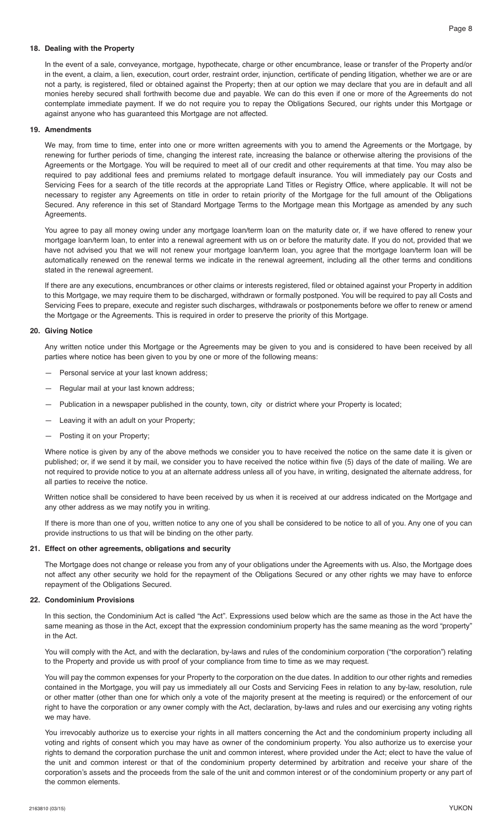# **18. Dealing with the Property**

 In the event of a sale, conveyance, mortgage, hypothecate, charge or other encumbrance, lease or transfer of the Property and/or in the event, a claim, a lien, execution, court order, restraint order, injunction, certificate of pending litigation, whether we are or are not a party, is registered, filed or obtained against the Property; then at our option we may declare that you are in default and all monies hereby secured shall forthwith become due and payable. We can do this even if one or more of the Agreements do not contemplate immediate payment. If we do not require you to repay the Obligations Secured, our rights under this Mortgage or against anyone who has guaranteed this Mortgage are not affected.

# **19. Amendments**

 We may, from time to time, enter into one or more written agreements with you to amend the Agreements or the Mortgage, by renewing for further periods of time, changing the interest rate, increasing the balance or otherwise altering the provisions of the Agreements or the Mortgage. You will be required to meet all of our credit and other requirements at that time. You may also be required to pay additional fees and premiums related to mortgage default insurance. You will immediately pay our Costs and Servicing Fees for a search of the title records at the appropriate Land Titles or Registry Office, where applicable. It will not be necessary to register any Agreements on title in order to retain priority of the Mortgage for the full amount of the Obligations Secured. Any reference in this set of Standard Mortgage Terms to the Mortgage mean this Mortgage as amended by any such Agreements.

 You agree to pay all money owing under any mortgage loan/term loan on the maturity date or, if we have offered to renew your mortgage loan/term loan, to enter into a renewal agreement with us on or before the maturity date. If you do not, provided that we have not advised you that we will not renew your mortgage loan/term loan, you agree that the mortgage loan/term loan will be automatically renewed on the renewal terms we indicate in the renewal agreement, including all the other terms and conditions stated in the renewal agreement.

 If there are any executions, encumbrances or other claims or interests registered, filed or obtained against your Property in addition to this Mortgage, we may require them to be discharged, withdrawn or formally postponed. You will be required to pay all Costs and Servicing Fees to prepare, execute and register such discharges, withdrawals or postponements before we offer to renew or amend the Mortgage or the Agreements. This is required in order to preserve the priority of this Mortgage.

#### **20. Giving Notice**

 Any written notice under this Mortgage or the Agreements may be given to you and is considered to have been received by all parties where notice has been given to you by one or more of the following means:

- Personal service at your last known address;
- Regular mail at your last known address;
- Publication in a newspaper published in the county, town, city or district where your Property is located;
- Leaving it with an adult on your Property;
- Posting it on your Property;

 Where notice is given by any of the above methods we consider you to have received the notice on the same date it is given or published; or, if we send it by mail, we consider you to have received the notice within five (5) days of the date of mailing. We are not required to provide notice to you at an alternate address unless all of you have, in writing, designated the alternate address, for all parties to receive the notice.

 Written notice shall be considered to have been received by us when it is received at our address indicated on the Mortgage and any other address as we may notify you in writing.

 If there is more than one of you, written notice to any one of you shall be considered to be notice to all of you. Any one of you can provide instructions to us that will be binding on the other party.

#### **21. Effect on other agreements, obligations and security**

 The Mortgage does not change or release you from any of your obligations under the Agreements with us. Also, the Mortgage does not affect any other security we hold for the repayment of the Obligations Secured or any other rights we may have to enforce repayment of the Obligations Secured.

## **22. Condominium Provisions**

 In this section, the Condominium Act is called "the Act". Expressions used below which are the same as those in the Act have the same meaning as those in the Act, except that the expression condominium property has the same meaning as the word "property" in the Act.

 You will comply with the Act, and with the declaration, by-laws and rules of the condominium corporation ("the corporation") relating to the Property and provide us with proof of your compliance from time to time as we may request.

 You will pay the common expenses for your Property to the corporation on the due dates. In addition to our other rights and remedies contained in the Mortgage, you will pay us immediately all our Costs and Servicing Fees in relation to any by-law, resolution, rule or other matter (other than one for which only a vote of the majority present at the meeting is required) or the enforcement of our right to have the corporation or any owner comply with the Act, declaration, by-laws and rules and our exercising any voting rights we may have.

 You irrevocably authorize us to exercise your rights in all matters concerning the Act and the condominium property including all voting and rights of consent which you may have as owner of the condominium property. You also authorize us to exercise your rights to demand the corporation purchase the unit and common interest, where provided under the Act; elect to have the value of the unit and common interest or that of the condominium property determined by arbitration and receive your share of the corporation's assets and the proceeds from the sale of the unit and common interest or of the condominium property or any part of the common elements.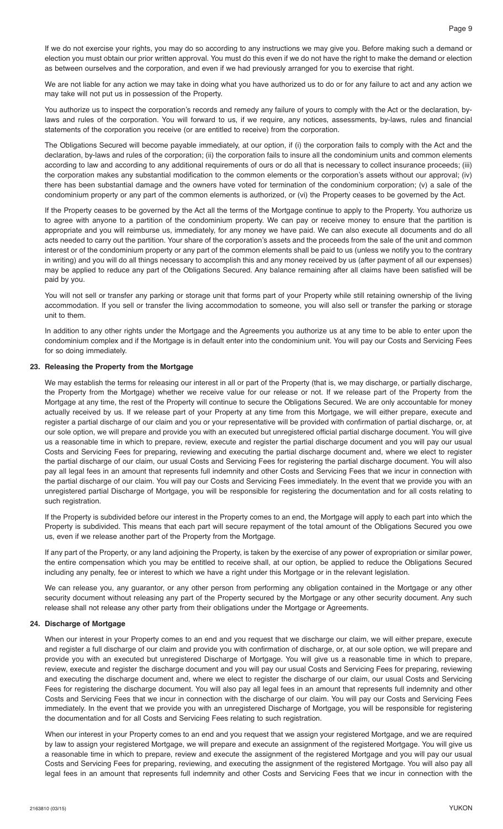If we do not exercise your rights, you may do so according to any instructions we may give you. Before making such a demand or election you must obtain our prior written approval. You must do this even if we do not have the right to make the demand or election as between ourselves and the corporation, and even if we had previously arranged for you to exercise that right.

 We are not liable for any action we may take in doing what you have authorized us to do or for any failure to act and any action we may take will not put us in possession of the Property.

 You authorize us to inspect the corporation's records and remedy any failure of yours to comply with the Act or the declaration, bylaws and rules of the corporation. You will forward to us, if we require, any notices, assessments, by-laws, rules and financial statements of the corporation you receive (or are entitled to receive) from the corporation.

 The Obligations Secured will become payable immediately, at our option, if (i) the corporation fails to comply with the Act and the declaration, by-laws and rules of the corporation; (ii) the corporation fails to insure all the condominium units and common elements according to law and according to any additional requirements of ours or do all that is necessary to collect insurance proceeds; (iii) the corporation makes any substantial modification to the common elements or the corporation's assets without our approval; (iv) there has been substantial damage and the owners have voted for termination of the condominium corporation; (v) a sale of the condominium property or any part of the common elements is authorized, or (vi) the Property ceases to be governed by the Act.

 If the Property ceases to be governed by the Act all the terms of the Mortgage continue to apply to the Property. You authorize us to agree with anyone to a partition of the condominium property. We can pay or receive money to ensure that the partition is appropriate and you will reimburse us, immediately, for any money we have paid. We can also execute all documents and do all acts needed to carry out the partition. Your share of the corporation's assets and the proceeds from the sale of the unit and common interest or of the condominium property or any part of the common elements shall be paid to us (unless we notify you to the contrary in writing) and you will do all things necessary to accomplish this and any money received by us (after payment of all our expenses) may be applied to reduce any part of the Obligations Secured. Any balance remaining after all claims have been satisfied will be paid by you.

You will not sell or transfer any parking or storage unit that forms part of your Property while still retaining ownership of the living accommodation. If you sell or transfer the living accommodation to someone, you will also sell or transfer the parking or storage unit to them.

 In addition to any other rights under the Mortgage and the Agreements you authorize us at any time to be able to enter upon the condominium complex and if the Mortgage is in default enter into the condominium unit. You will pay our Costs and Servicing Fees for so doing immediately.

# **23. Releasing the Property from the Mortgage**

 We may establish the terms for releasing our interest in all or part of the Property (that is, we may discharge, or partially discharge, the Property from the Mortgage) whether we receive value for our release or not. If we release part of the Property from the Mortgage at any time, the rest of the Property will continue to secure the Obligations Secured. We are only accountable for money actually received by us. If we release part of your Property at any time from this Mortgage, we will either prepare, execute and register a partial discharge of our claim and you or your representative will be provided with confirmation of partial discharge, or, at our sole option, we will prepare and provide you with an executed but unregistered official partial discharge document. You will give us a reasonable time in which to prepare, review, execute and register the partial discharge document and you will pay our usual Costs and Servicing Fees for preparing, reviewing and executing the partial discharge document and, where we elect to register the partial discharge of our claim, our usual Costs and Servicing Fees for registering the partial discharge document. You will also pay all legal fees in an amount that represents full indemnity and other Costs and Servicing Fees that we incur in connection with the partial discharge of our claim. You will pay our Costs and Servicing Fees immediately. In the event that we provide you with an unregistered partial Discharge of Mortgage, you will be responsible for registering the documentation and for all costs relating to such registration.

 If the Property is subdivided before our interest in the Property comes to an end, the Mortgage will apply to each part into which the Property is subdivided. This means that each part will secure repayment of the total amount of the Obligations Secured you owe us, even if we release another part of the Property from the Mortgage.

 If any part of the Property, or any land adjoining the Property, is taken by the exercise of any power of expropriation or similar power, the entire compensation which you may be entitled to receive shall, at our option, be applied to reduce the Obligations Secured including any penalty, fee or interest to which we have a right under this Mortgage or in the relevant legislation.

 We can release you, any guarantor, or any other person from performing any obligation contained in the Mortgage or any other security document without releasing any part of the Property secured by the Mortgage or any other security document. Any such release shall not release any other party from their obligations under the Mortgage or Agreements.

#### **24. Discharge of Mortgage**

 When our interest in your Property comes to an end and you request that we discharge our claim, we will either prepare, execute and register a full discharge of our claim and provide you with confirmation of discharge, or, at our sole option, we will prepare and provide you with an executed but unregistered Discharge of Mortgage. You will give us a reasonable time in which to prepare, review, execute and register the discharge document and you will pay our usual Costs and Servicing Fees for preparing, reviewing and executing the discharge document and, where we elect to register the discharge of our claim, our usual Costs and Servicing Fees for registering the discharge document. You will also pay all legal fees in an amount that represents full indemnity and other Costs and Servicing Fees that we incur in connection with the discharge of our claim. You will pay our Costs and Servicing Fees immediately. In the event that we provide you with an unregistered Discharge of Mortgage, you will be responsible for registering the documentation and for all Costs and Servicing Fees relating to such registration.

 When our interest in your Property comes to an end and you request that we assign your registered Mortgage, and we are required by law to assign your registered Mortgage, we will prepare and execute an assignment of the registered Mortgage. You will give us a reasonable time in which to prepare, review and execute the assignment of the registered Mortgage and you will pay our usual Costs and Servicing Fees for preparing, reviewing, and executing the assignment of the registered Mortgage. You will also pay all legal fees in an amount that represents full indemnity and other Costs and Servicing Fees that we incur in connection with the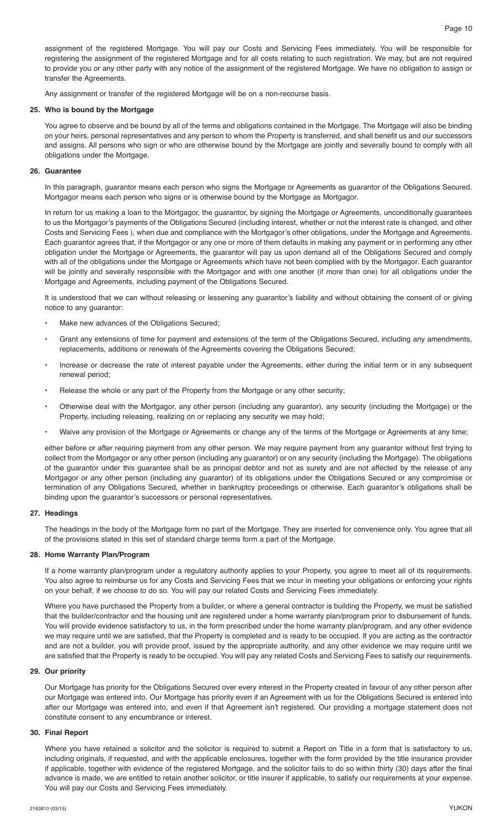assignment of the registered Mortgage. You will pay our Costs and Servicing Fees immediately. You will be responsible for registering the assignment of the registered Mortgage and for all costs relating to such registration. We may, but are not required to provide you or any other party with any notice of the assignment of the registered Mortgage. We have no obligation to assign or transfer the Agreements.

Any assignment or transfer of the registered Mortgage will be on a non-recourse basis.

#### **25. Who is bound by the Mortgage**

 You agree to observe and be bound by all of the terms and obligations contained in the Mortgage. The Mortgage will also be binding on your heirs, personal representatives and any person to whom the Property is transferred, and shall benefit us and our successors and assigns. All persons who sign or who are otherwise bound by the Mortgage are jointly and severally bound to comply with all obligations under the Mortgage.

#### **26. Guarantee**

 In this paragraph, guarantor means each person who signs the Mortgage or Agreements as guarantor of the Obligations Secured. Mortgagor means each person who signs or is otherwise bound by the Mortgage as Mortgagor.

 In return for us making a loan to the Mortgagor, the guarantor, by signing the Mortgage or Agreements, unconditionally guarantees to us the Mortgagor's payments of the Obligations Secured (including interest, whether or not the interest rate is changed, and other Costs and Servicing Fees ), when due and compliance with the Mortgagor's other obligations, under the Mortgage and Agreements. Each guarantor agrees that, if the Mortgagor or any one or more of them defaults in making any payment or in performing any other obligation under the Mortgage or Agreements, the guarantor will pay us upon demand all of the Obligations Secured and comply with all of the obligations under the Mortgage or Agreements which have not been complied with by the Mortgagor. Each guarantor will be jointly and severally responsible with the Mortgagor and with one another (if more than one) for all obligations under the Mortgage and Agreements, including payment of the Obligations Secured.

It is understood that we can without releasing or lessening any guarantor's liability and without obtaining the consent of or giving notice to any guarantor:

- Make new advances of the Obligations Secured;
- Grant any extensions of time for payment and extensions of the term of the Obligations Secured, including any amendments, replacements, additions or renewals of the Agreements covering the Obligations Secured;
- Increase or decrease the rate of interest payable under the Agreements, either during the initial term or in any subsequent renewal period;
- Release the whole or any part of the Property from the Mortgage or any other security;
- Otherwise deal with the Mortgagor, any other person (including any guarantor), any security (including the Mortgage) or the Property, including releasing, realizing on or replacing any security we may hold;
- Waive any provision of the Mortgage or Agreements or change any of the terms of the Mortgage or Agreements at any time;

 either before or after requiring payment from any other person. We may require payment from any guarantor without first trying to collect from the Mortgagor or any other person (including any guarantor) or on any security (including the Mortgage). The obligations of the guarantor under this guarantee shall be as principal debtor and not as surety and are not affected by the release of any Mortgagor or any other person (including any guarantor) of its obligations under the Obligations Secured or any compromise or termination of any Obligations Secured, whether in bankruptcy proceedings or otherwise. Each guarantor's obligations shall be binding upon the guarantor's successors or personal representatives.

# **27. Headings**

 The headings in the body of the Mortgage form no part of the Mortgage. They are inserted for convenience only. You agree that all of the provisions stated in this set of standard charge terms form a part of the Mortgage.

#### **28. Home Warranty Plan/Program**

 If a home warranty plan/program under a regulatory authority applies to your Property, you agree to meet all of its requirements. You also agree to reimburse us for any Costs and Servicing Fees that we incur in meeting your obligations or enforcing your rights on your behalf, if we choose to do so. You will pay our related Costs and Servicing Fees immediately.

 Where you have purchased the Property from a builder, or where a general contractor is building the Property, we must be satisfied that the builder/contractor and the housing unit are registered under a home warranty plan/program prior to disbursement of funds. You will provide evidence satisfactory to us, in the form prescribed under the home warranty plan/program, and any other evidence we may require until we are satisfied, that the Property is completed and is ready to be occupied. If you are acting as the contractor and are not a builder, you will provide proof, issued by the appropriate authority, and any other evidence we may require until we are satisfied that the Property is ready to be occupied. You will pay any related Costs and Servicing Fees to satisfy our requirements.

#### **29. Our priority**

 Our Mortgage has priority for the Obligations Secured over every interest in the Property created in favour of any other person after our Mortgage was entered into. Our Mortgage has priority even if an Agreement with us for the Obligations Secured is entered into after our Mortgage was entered into, and even if that Agreement isn't registered. Our providing a mortgage statement does not constitute consent to any encumbrance or interest.

# **30. Final Report**

 Where you have retained a solicitor and the solicitor is required to submit a Report on Title in a form that is satisfactory to us, including originals, if requested, and with the applicable enclosures, together with the form provided by the title insurance provider if applicable, together with evidence of the registered Mortgage, and the solicitor fails to do so within thirty (30) days after the final advance is made, we are entitled to retain another solicitor, or title insurer if applicable, to satisfy our requirements at your expense. You will pay our Costs and Servicing Fees immediately.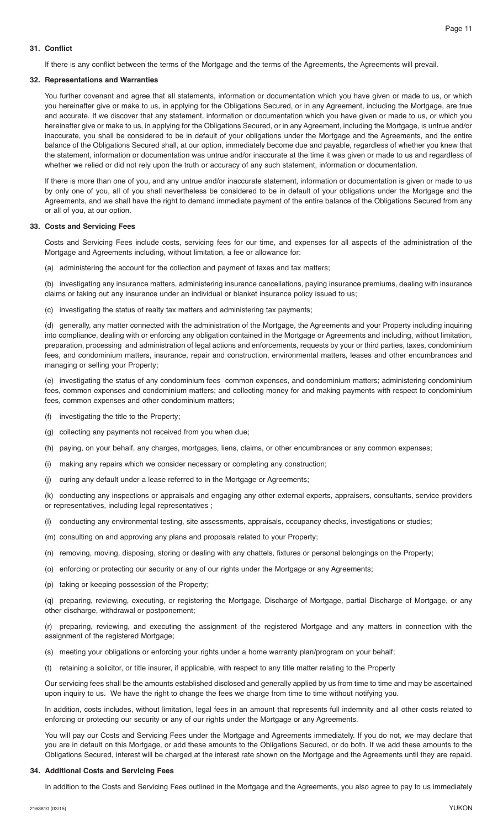# **31. Conflict**

If there is any conflict between the terms of the Mortgage and the terms of the Agreements, the Agreements will prevail.

#### **32. Representations and Warranties**

 You further covenant and agree that all statements, information or documentation which you have given or made to us, or which you hereinafter give or make to us, in applying for the Obligations Secured, or in any Agreement, including the Mortgage, are true and accurate. If we discover that any statement, information or documentation which you have given or made to us, or which you hereinafter give or make to us, in applying for the Obligations Secured, or in any Agreement, including the Mortgage, is untrue and/or inaccurate, you shall be considered to be in default of your obligations under the Mortgage and the Agreements, and the entire balance of the Obligations Secured shall, at our option, immediately become due and payable, regardless of whether you knew that the statement, information or documentation was untrue and/or inaccurate at the time it was given or made to us and regardless of whether we relied or did not rely upon the truth or accuracy of any such statement, information or documentation.

 If there is more than one of you, and any untrue and/or inaccurate statement, information or documentation is given or made to us by only one of you, all of you shall nevertheless be considered to be in default of your obligations under the Mortgage and the Agreements, and we shall have the right to demand immediate payment of the entire balance of the Obligations Secured from any or all of you, at our option.

## **33. Costs and Servicing Fees**

 Costs and Servicing Fees include costs, servicing fees for our time, and expenses for all aspects of the administration of the Mortgage and Agreements including, without limitation, a fee or allowance for:

(a) administering the account for the collection and payment of taxes and tax matters;

 (b) investigating any insurance matters, administering insurance cancellations, paying insurance premiums, dealing with insurance claims or taking out any insurance under an individual or blanket insurance policy issued to us;

(c) investigating the status of realty tax matters and administering tax payments;

 (d) generally, any matter connected with the administration of the Mortgage, the Agreements and your Property including inquiring into compliance, dealing with or enforcing any obligation contained in the Mortgage or Agreements and including, without limitation, preparation, processing and administration of legal actions and enforcements, requests by your or third parties, taxes, condominium fees, and condominium matters, insurance, repair and construction, environmental matters, leases and other encumbrances and managing or selling your Property;

 (e) investigating the status of any condominium fees common expenses, and condominium matters; administering condominium fees, common expenses and condominium matters; and collecting money for and making payments with respect to condominium fees, common expenses and other condominium matters;

- (f) investigating the title to the Property;
- (g) collecting any payments not received from you when due;
- (h) paying, on your behalf, any charges, mortgages, liens, claims, or other encumbrances or any common expenses;
- (i) making any repairs which we consider necessary or completing any construction;
- (j) curing any default under a lease referred to in the Mortgage or Agreements;

 (k) conducting any inspections or appraisals and engaging any other external experts, appraisers, consultants, service providers or representatives, including legal representatives ;

- (l) conducting any environmental testing, site assessments, appraisals, occupancy checks, investigations or studies;
- (m) consulting on and approving any plans and proposals related to your Property;
- (n) removing, moving, disposing, storing or dealing with any chattels, fixtures or personal belongings on the Property;
- (o) enforcing or protecting our security or any of our rights under the Mortgage or any Agreements;
- (p) taking or keeping possession of the Property;

 (q) preparing, reviewing, executing, or registering the Mortgage, Discharge of Mortgage, partial Discharge of Mortgage, or any other discharge, withdrawal or postponement;

 (r) preparing, reviewing, and executing the assignment of the registered Mortgage and any matters in connection with the assignment of the registered Mortgage;

- (s) meeting your obligations or enforcing your rights under a home warranty plan/program on your behalf;
- (t) retaining a solicitor, or title insurer, if applicable, with respect to any title matter relating to the Property

 Our servicing fees shall be the amounts established disclosed and generally applied by us from time to time and may be ascertained upon inquiry to us. We have the right to change the fees we charge from time to time without notifying you.

 In addition, costs includes, without limitation, legal fees in an amount that represents full indemnity and all other costs related to enforcing or protecting our security or any of our rights under the Mortgage or any Agreements.

 You will pay our Costs and Servicing Fees under the Mortgage and Agreements immediately. If you do not, we may declare that you are in default on this Mortgage, or add these amounts to the Obligations Secured, or do both. If we add these amounts to the Obligations Secured, interest will be charged at the interest rate shown on the Mortgage and the Agreements until they are repaid.

#### **34. Additional Costs and Servicing Fees**

In addition to the Costs and Servicing Fees outlined in the Mortgage and the Agreements, you also agree to pay to us immediately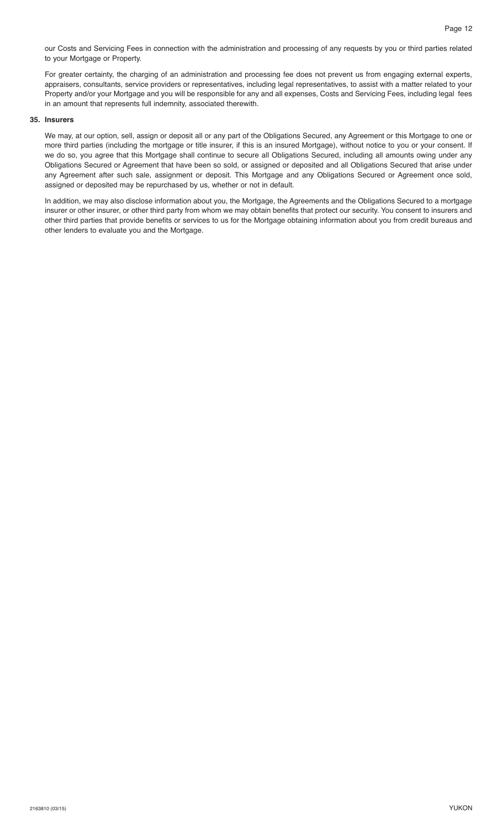our Costs and Servicing Fees in connection with the administration and processing of any requests by you or third parties related to your Mortgage or Property.

 For greater certainty, the charging of an administration and processing fee does not prevent us from engaging external experts, appraisers, consultants, service providers or representatives, including legal representatives, to assist with a matter related to your Property and/or your Mortgage and you will be responsible for any and all expenses, Costs and Servicing Fees, including legal fees in an amount that represents full indemnity, associated therewith.

#### **35. Insurers**

 We may, at our option, sell, assign or deposit all or any part of the Obligations Secured, any Agreement or this Mortgage to one or more third parties (including the mortgage or title insurer, if this is an insured Mortgage), without notice to you or your consent. If we do so, you agree that this Mortgage shall continue to secure all Obligations Secured, including all amounts owing under any Obligations Secured or Agreement that have been so sold, or assigned or deposited and all Obligations Secured that arise under any Agreement after such sale, assignment or deposit. This Mortgage and any Obligations Secured or Agreement once sold, assigned or deposited may be repurchased by us, whether or not in default.

 In addition, we may also disclose information about you, the Mortgage, the Agreements and the Obligations Secured to a mortgage insurer or other insurer, or other third party from whom we may obtain benefits that protect our security. You consent to insurers and other third parties that provide benefits or services to us for the Mortgage obtaining information about you from credit bureaus and other lenders to evaluate you and the Mortgage.